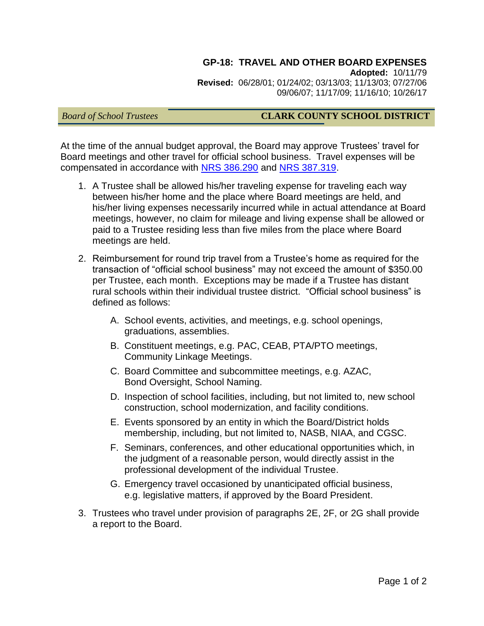### **GP-18: TRAVEL AND OTHER BOARD EXPENSES**

**Adopted:** 10/11/79 **Revised:** 06/28/01; 01/24/02; 03/13/03; 11/13/03; 07/27/06 09/06/07; 11/17/09; 11/16/10; 10/26/17

## *Board of School Trustees* **CLARK COUNTY SCHOOL DISTRICT**

At the time of the annual budget approval, the Board may approve Trustees' travel for Board meetings and other travel for official school business. Travel expenses will be compensated in accordance with [NRS 386.290](http://www.leg.state.nv.us/nrs/NRS-386.html#NRS386Sec290) and [NRS 387.319.](http://www.leg.state.nv.us/nrs/NRS-387.html#NRS387Sec319)

- 1. A Trustee shall be allowed his/her traveling expense for traveling each way between his/her home and the place where Board meetings are held, and his/her living expenses necessarily incurred while in actual attendance at Board meetings, however, no claim for mileage and living expense shall be allowed or paid to a Trustee residing less than five miles from the place where Board meetings are held.
- 2. Reimbursement for round trip travel from a Trustee's home as required for the transaction of "official school business" may not exceed the amount of \$350.00 per Trustee, each month. Exceptions may be made if a Trustee has distant rural schools within their individual trustee district. "Official school business" is defined as follows:
	- A. School events, activities, and meetings, e.g. school openings, graduations, assemblies.
	- B. Constituent meetings, e.g. PAC, CEAB, PTA/PTO meetings, Community Linkage Meetings.
	- C. Board Committee and subcommittee meetings, e.g. AZAC, Bond Oversight, School Naming.
	- D. Inspection of school facilities, including, but not limited to, new school construction, school modernization, and facility conditions.
	- E. Events sponsored by an entity in which the Board/District holds membership, including, but not limited to, NASB, NIAA, and CGSC.
	- F. Seminars, conferences, and other educational opportunities which, in the judgment of a reasonable person, would directly assist in the professional development of the individual Trustee.
	- G. Emergency travel occasioned by unanticipated official business, e.g. legislative matters, if approved by the Board President.
- 3. Trustees who travel under provision of paragraphs 2E, 2F, or 2G shall provide a report to the Board.